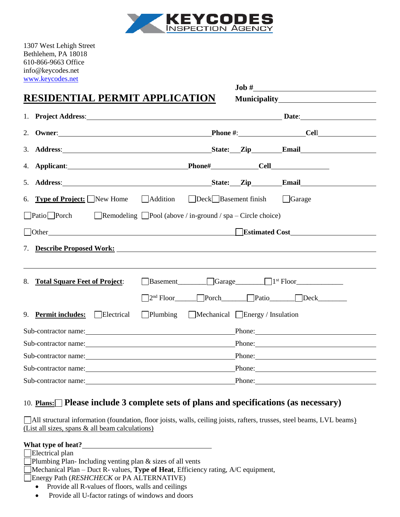

1307 West Lehigh Street Bethlehem, PA 18018 610-866-9663 Office info@keycodes.net [www.keycodes.net](http://www.keycodes.net/)

|                                                                                                                                                                                                                                | $\text{Job}~\#$                                                                                                                                                                                                                        |
|--------------------------------------------------------------------------------------------------------------------------------------------------------------------------------------------------------------------------------|----------------------------------------------------------------------------------------------------------------------------------------------------------------------------------------------------------------------------------------|
| RESIDENTIAL PERMIT APPLICATION                                                                                                                                                                                                 | <b>Municipality</b> Municipality                                                                                                                                                                                                       |
|                                                                                                                                                                                                                                | 1. Project Address: Date: Date: Date: Date: Date: Date: Date: Date: Date: Date: Date: Date: Date: Date: Date: Date: Date: Date: Date: Date: Date: Date: Date: Date: Date: Date: Date: Date: Date: Date: Date: Date: Date: Date         |
|                                                                                                                                                                                                                                |                                                                                                                                                                                                                                        |
|                                                                                                                                                                                                                                | 3. Address: Email State: Zip Email Email State: Zip Email Email Email State: Zip Email State: Zip Email Email State: Zip Email State: Zip Email State: Zip Email State: Zip Email State: $\frac{2}{n}$ Email State: $\frac{2}{n}$ Emai |
|                                                                                                                                                                                                                                |                                                                                                                                                                                                                                        |
|                                                                                                                                                                                                                                | 5. Address: State: Zip Email                                                                                                                                                                                                           |
|                                                                                                                                                                                                                                | 6. Type of Project: New Home Addition Deck Basement finish Garage                                                                                                                                                                      |
| $\Box$ Patio $\Box$ Porch $\Box$ Remodeling $\Box$ Pool (above / in-ground / spa – Circle choice)                                                                                                                              |                                                                                                                                                                                                                                        |
| Other contact the contact of the contact of the contact of the contact of the contact of the contact of the contact of the contact of the contact of the contact of the contact of the contact of the contact of the contact o | Estimated Cost                                                                                                                                                                                                                         |
|                                                                                                                                                                                                                                | 7. Describe Proposed Work:                                                                                                                                                                                                             |
|                                                                                                                                                                                                                                |                                                                                                                                                                                                                                        |
| 8.<br><b>Total Square Feet of Project:</b>                                                                                                                                                                                     | $\Box$ Basement $\Box$ Garage $\Box$ $\Box$ <sup>st</sup> Floor                                                                                                                                                                        |
|                                                                                                                                                                                                                                | $\Box$ 2 <sup>nd</sup> Floor $\Box$ Porch $\Box$ Patio $\Box$ Deck                                                                                                                                                                     |
| 9. Permit includes: Electrical                                                                                                                                                                                                 | Plumbing Mechanical Energy / Insulation                                                                                                                                                                                                |
|                                                                                                                                                                                                                                | Phone: 2008 Contract and the contract of the contract of the contract of the contract of the contract of the contract of the contract of the contract of the contract of the contract of the contract of the contract of the c         |
| Sub-contractor name:                                                                                                                                                                                                           | Phone:                                                                                                                                                                                                                                 |
|                                                                                                                                                                                                                                | Phone:                                                                                                                                                                                                                                 |
|                                                                                                                                                                                                                                | Phone:                                                                                                                                                                                                                                 |
| Sub-contractor name:                                                                                                                                                                                                           | Phone:                                                                                                                                                                                                                                 |

## 10. **Plans: Please include 3 complete sets of plans and specifications (as necessary)**

All structural information (foundation, floor joists, walls, ceiling joists, rafters, trusses, steel beams, LVL beams) (List all sizes, spans & all beam calculations)

| What type of heat?                                                                               |
|--------------------------------------------------------------------------------------------------|
| $\Box$ Electrical plan                                                                           |
| $\Box$ Plumbing Plan-Including venting plan & sizes of all vents                                 |
| $\Box$ Mechanical Plan – Duct R- values, <b>Type of Heat</b> , Efficiency rating, A/C equipment, |
| $\Box$ Energy Path ( <i>RESHCHECK</i> or PA ALTERNATIVE)                                         |
| • Provide all R-values of floors, walls and ceilings                                             |
| Provide all U-factor ratings of windows and doors<br>$\bullet$                                   |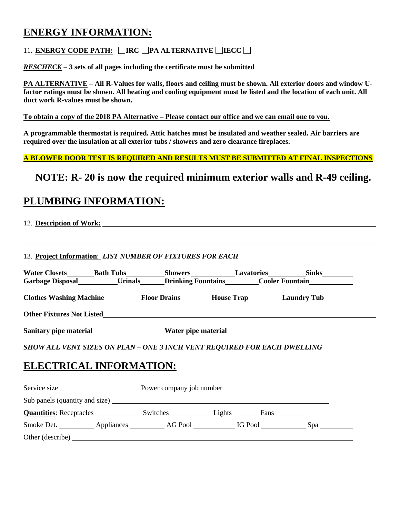# **ENERGY INFORMATION:**

### 11. **ENERGY CODE PATH: IRC PA ALTERNATIVE IECC**

*RESCHECK –* **3 sets of all pages including the certificate must be submitted**

**PA ALTERNATIVE – All R-Values for walls, floors and ceiling must be shown. All exterior doors and window Ufactor ratings must be shown. All heating and cooling equipment must be listed and the location of each unit. All duct work R-values must be shown.** 

**To obtain a copy of the 2018 PA Alternative – Please contact our office and we can email one to you.**

**A programmable thermostat is required. Attic hatches must be insulated and weather sealed. Air barriers are required over the insulation at all exterior tubs / showers and zero clearance fireplaces.** 

**A BLOWER DOOR TEST IS REQUIRED AND RESULTS MUST BE SUBMITTED AT FINAL INSPECTIONS**

# **NOTE: R- 20 is now the required minimum exterior walls and R-49 ceiling.**

# **PLUMBING INFORMATION:**

| 12. Description of Work: |  |
|--------------------------|--|
|                          |  |

13. **Project Information**: *LIST NUMBER OF FIXTURES FOR EACH*

|                                                                          |  |                               | Clothes Washing Machine Floor Drains House Trap Laundry Tub |
|--------------------------------------------------------------------------|--|-------------------------------|-------------------------------------------------------------|
|                                                                          |  |                               |                                                             |
| Sanitary pipe material Mater pipe material Mater pipe material           |  |                               |                                                             |
| SHOW ALL VENT SIZES ON PLAN - ONE 3 INCH VENT REQUIRED FOR EACH DWELLING |  |                               |                                                             |
| <b>ELECTRICAL INFORMATION:</b>                                           |  |                               |                                                             |
|                                                                          |  |                               |                                                             |
|                                                                          |  |                               |                                                             |
|                                                                          |  | $Fans$ <sub>___________</sub> |                                                             |

Smoke Det. Appliances AG Pool IG Pool Spa Other (describe)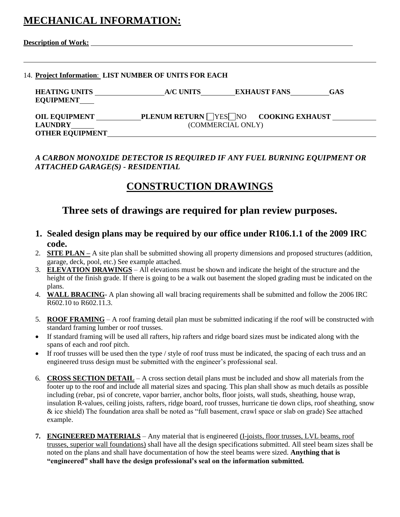# **MECHANICAL INFORMATION:**

| <b>Description of Work:</b> |
|-----------------------------|
|-----------------------------|

#### 14. **Project Information**: **LIST NUMBER OF UNITS FOR EACH**

| <b>HEATING UNITS</b>   | A/C UNITS | <b>EXHAUST FANS</b>                  | <b>GAS</b> |
|------------------------|-----------|--------------------------------------|------------|
| <b>EQUIPMENT</b>       |           |                                      |            |
| <b>OIL EQUIPMENT</b>   |           | PLENUM RETURN VES NO COOKING EXHAUST |            |
| <b>LAUNDRY</b>         |           | (COMMERCIAL ONLY)                    |            |
| <b>OTHER EQUIPMENT</b> |           |                                      |            |

*A CARBON MONOXIDE DETECTOR IS REQUIRED IF ANY FUEL BURNING EQUIPMENT OR ATTACHED GARAGE(S) - RESIDENTIAL*

# **CONSTRUCTION DRAWINGS**

## **Three sets of drawings are required for plan review purposes.**

- **1. Sealed design plans may be required by our office under R106.1.1 of the 2009 IRC code.**
- 2. **SITE PLAN –** A site plan shall be submitted showing all property dimensions and proposed structures (addition, garage, deck, pool, etc.) See example attached.
- 3. **ELEVATION DRAWINGS** All elevations must be shown and indicate the height of the structure and the height of the finish grade. If there is going to be a walk out basement the sloped grading must be indicated on the plans.
- 4. **WALL BRACING** A plan showing all wall bracing requirements shall be submitted and follow the 2006 IRC R602.10 to R602.11.3.
- 5. **ROOF FRAMING** A roof framing detail plan must be submitted indicating if the roof will be constructed with standard framing lumber or roof trusses.
- If standard framing will be used all rafters, hip rafters and ridge board sizes must be indicated along with the spans of each and roof pitch.
- If roof trusses will be used then the type / style of roof truss must be indicated, the spacing of each truss and an engineered truss design must be submitted with the engineer's professional seal.
- 6. **CROSS SECTION DETAIL** A cross section detail plans must be included and show all materials from the footer up to the roof and include all material sizes and spacing. This plan shall show as much details as possible including (rebar, psi of concrete, vapor barrier, anchor bolts, floor joists, wall studs, sheathing, house wrap, insulation R-values, ceiling joists, rafters, ridge board, roof trusses, hurricane tie down clips, roof sheathing, snow & ice shield) The foundation area shall be noted as "full basement, crawl space or slab on grade) See attached example.
- **7. ENGINEERED MATERIALS** Any material that is engineered (I-joists, floor trusses, LVL beams, roof trusses, superior wall foundations) shall have all the design specifications submitted. All steel beam sizes shall be noted on the plans and shall have documentation of how the steel beams were sized. **Anything that is "engineered" shall have the design professional's seal on the information submitted.**